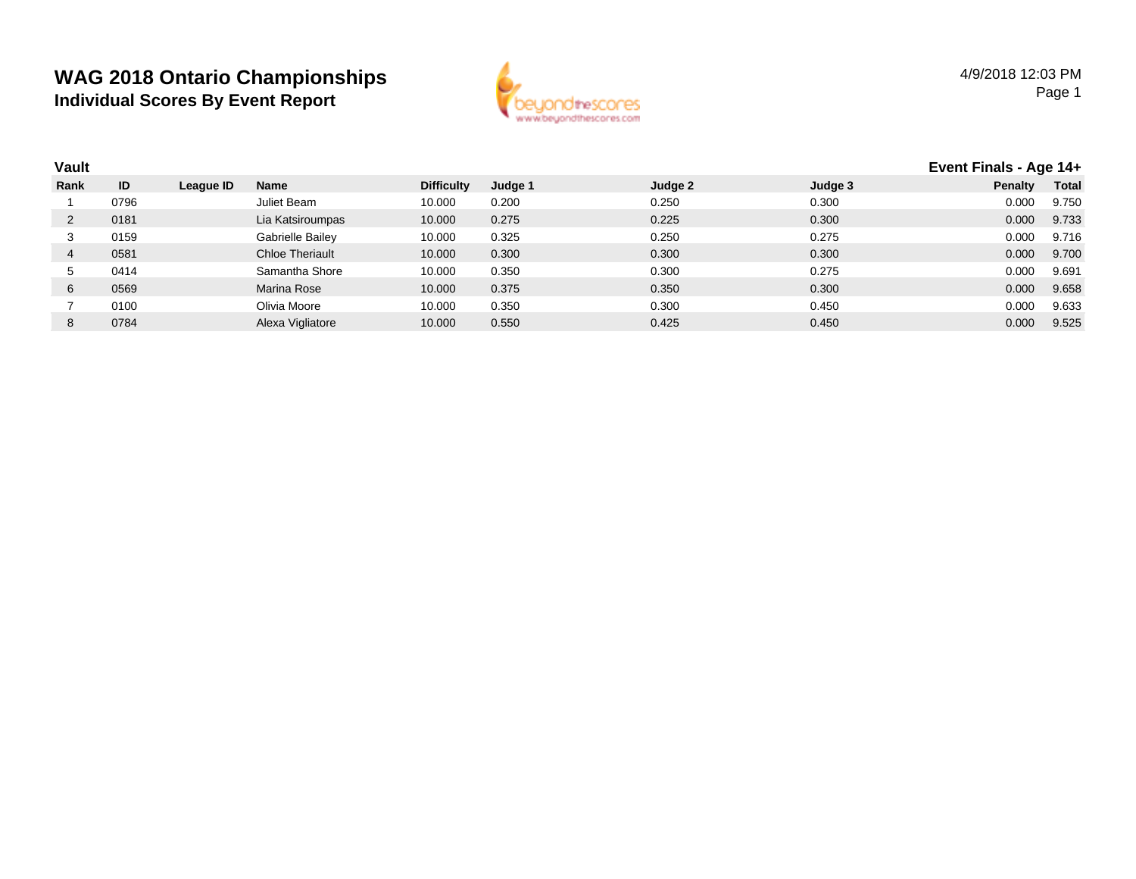

| <b>Vault</b> |      |           |                        |                   |         |         |         | Event Finals - Age 14+ |              |
|--------------|------|-----------|------------------------|-------------------|---------|---------|---------|------------------------|--------------|
| Rank         | ID   | League ID | <b>Name</b>            | <b>Difficulty</b> | Judge 1 | Judge 2 | Judge 3 | <b>Penalty</b>         | <b>Total</b> |
|              | 0796 |           | Juliet Beam            | 10.000            | 0.200   | 0.250   | 0.300   | 0.000                  | 9.750        |
|              | 0181 |           | Lia Katsiroumpas       | 10.000            | 0.275   | 0.225   | 0.300   | 0.000                  | 9.733        |
| 3            | 0159 |           | Gabrielle Bailey       | 10.000            | 0.325   | 0.250   | 0.275   | 0.000                  | 9.716        |
|              | 0581 |           | <b>Chloe Theriault</b> | 10.000            | 0.300   | 0.300   | 0.300   | 0.000                  | 9.700        |
| .5           | 0414 |           | Samantha Shore         | 10.000            | 0.350   | 0.300   | 0.275   | 0.000                  | 9.691        |
| 6            | 0569 |           | Marina Rose            | 10.000            | 0.375   | 0.350   | 0.300   | 0.000                  | 9.658        |
|              | 0100 |           | Olivia Moore           | 10.000            | 0.350   | 0.300   | 0.450   | 0.000                  | 9.633        |
| 8            | 0784 |           | Alexa Vigliatore       | 10.000            | 0.550   | 0.425   | 0.450   | 0.000                  | 9.525        |
|              |      |           |                        |                   |         |         |         |                        |              |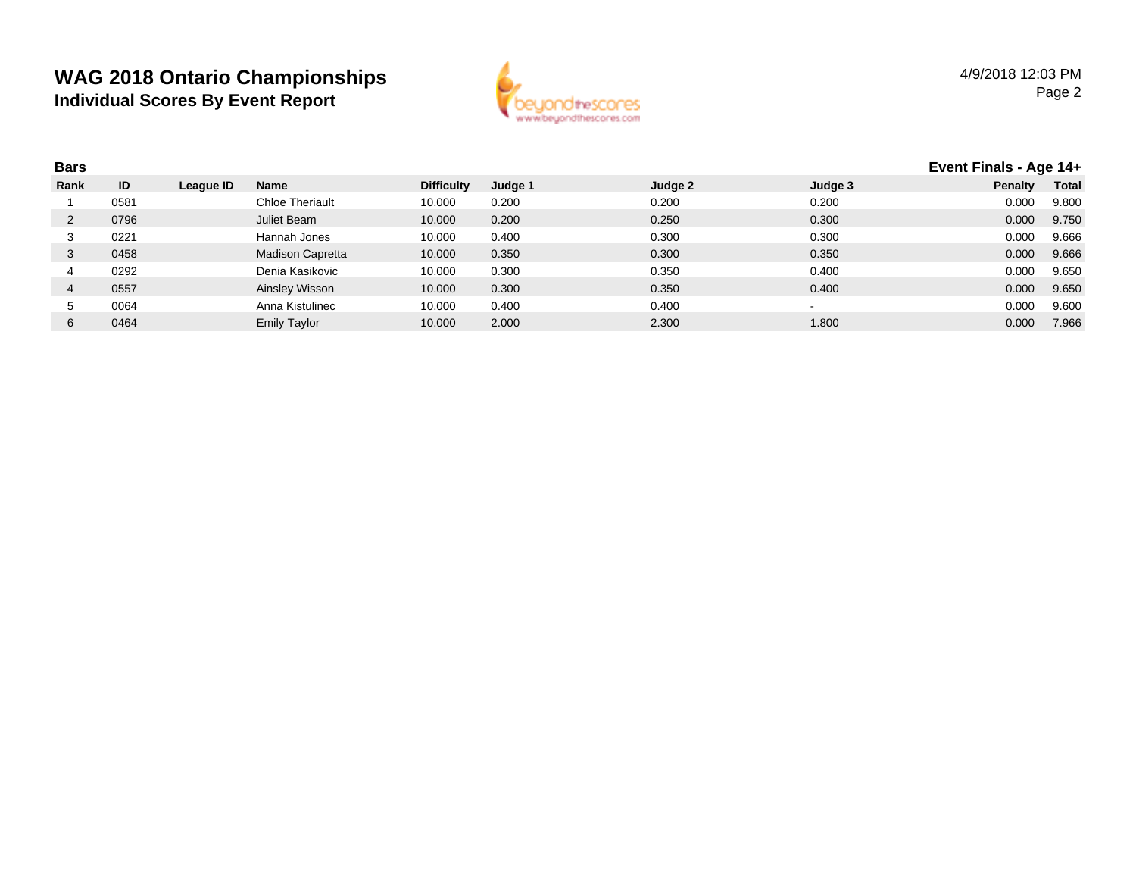

| <b>Bars</b> |      |           |                         |                   |         |         |         |                | Event Finals - Age 14+ |  |
|-------------|------|-----------|-------------------------|-------------------|---------|---------|---------|----------------|------------------------|--|
| Rank        | ID   | League ID | Name                    | <b>Difficulty</b> | Judge 1 | Judge 2 | Judge 3 | <b>Penalty</b> | <b>Total</b>           |  |
|             | 0581 |           | <b>Chloe Theriault</b>  | 10.000            | 0.200   | 0.200   | 0.200   | 0.000          | 9.800                  |  |
|             | 0796 |           | Juliet Beam             | 10.000            | 0.200   | 0.250   | 0.300   | 0.000          | 9.750                  |  |
| 3           | 0221 |           | Hannah Jones            | 10.000            | 0.400   | 0.300   | 0.300   | 0.000          | 9.666                  |  |
| 3           | 0458 |           | <b>Madison Capretta</b> | 10.000            | 0.350   | 0.300   | 0.350   | 0.000          | 9.666                  |  |
|             | 0292 |           | Denia Kasikovic         | 10.000            | 0.300   | 0.350   | 0.400   | 0.000          | 9.650                  |  |
|             | 0557 |           | Ainsley Wisson          | 10.000            | 0.300   | 0.350   | 0.400   | 0.000          | 9.650                  |  |
| $\mathbf b$ | 0064 |           | Anna Kistulinec         | 10.000            | 0.400   | 0.400   |         | 0.000          | 9.600                  |  |
| 6           | 0464 |           | <b>Emily Taylor</b>     | 10.000            | 2.000   | 2.300   | 1.800   | 0.000          | 7.966                  |  |
|             |      |           |                         |                   |         |         |         |                |                        |  |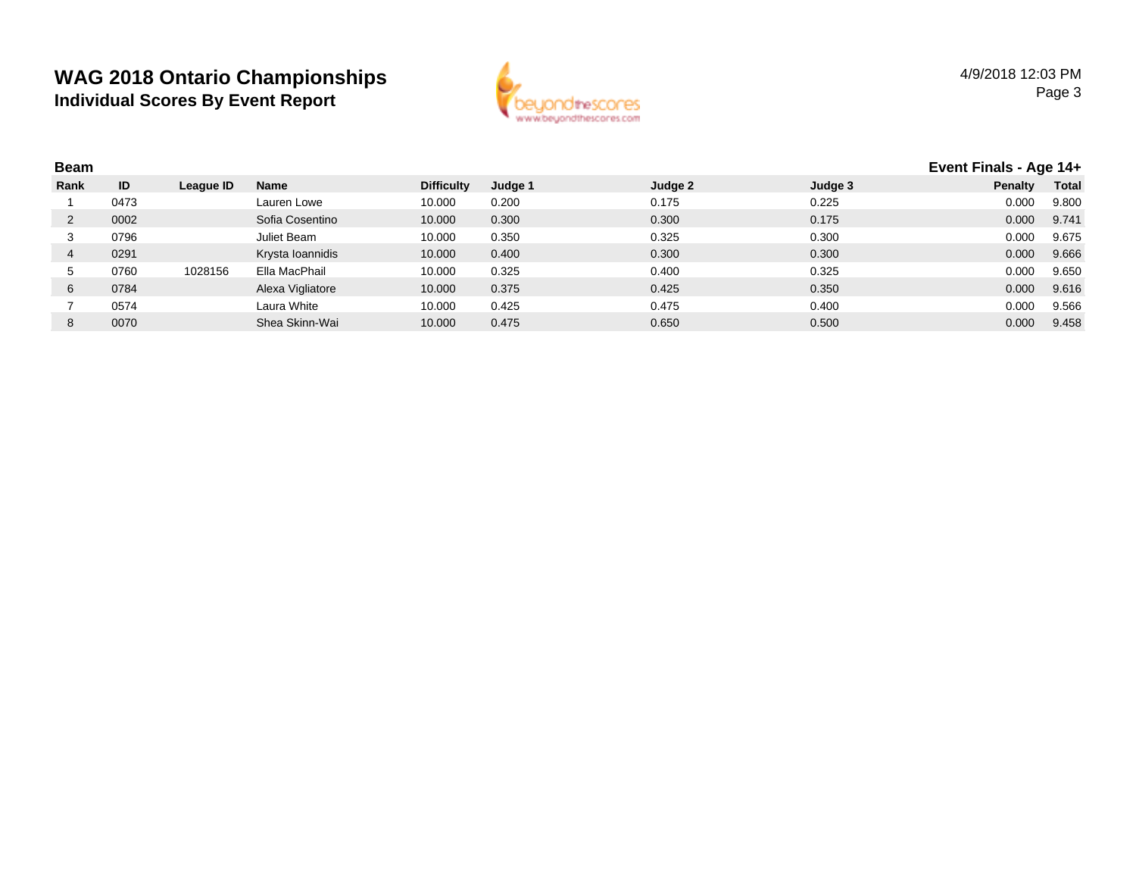

| <b>Beam</b> |      |           |                  |                   |         |         | Event Finals - Age 14+ |         |              |
|-------------|------|-----------|------------------|-------------------|---------|---------|------------------------|---------|--------------|
| Rank        | ID   | League ID | Name             | <b>Difficulty</b> | Judge 1 | Judge 2 | Judge 3                | Penalty | <b>Total</b> |
|             | 0473 |           | Lauren Lowe      | 10.000            | 0.200   | 0.175   | 0.225                  | 0.000   | 9.800        |
|             | 0002 |           | Sofia Cosentino  | 10.000            | 0.300   | 0.300   | 0.175                  | 0.000   | 9.741        |
| 3           | 0796 |           | Juliet Beam      | 10.000            | 0.350   | 0.325   | 0.300                  | 0.000   | 9.675        |
| 4           | 0291 |           | Krysta Ioannidis | 10.000            | 0.400   | 0.300   | 0.300                  | 0.000   | 9.666        |
| C.          | 0760 | 1028156   | Ella MacPhail    | 10.000            | 0.325   | 0.400   | 0.325                  | 0.000   | 9.650        |
| 6           | 0784 |           | Alexa Vigliatore | 10.000            | 0.375   | 0.425   | 0.350                  | 0.000   | 9.616        |
|             | 0574 |           | Laura White      | 10.000            | 0.425   | 0.475   | 0.400                  | 0.000   | 9.566        |
| 8           | 0070 |           | Shea Skinn-Wai   | 10.000            | 0.475   | 0.650   | 0.500                  | 0.000   | 9.458        |
|             |      |           |                  |                   |         |         |                        |         |              |